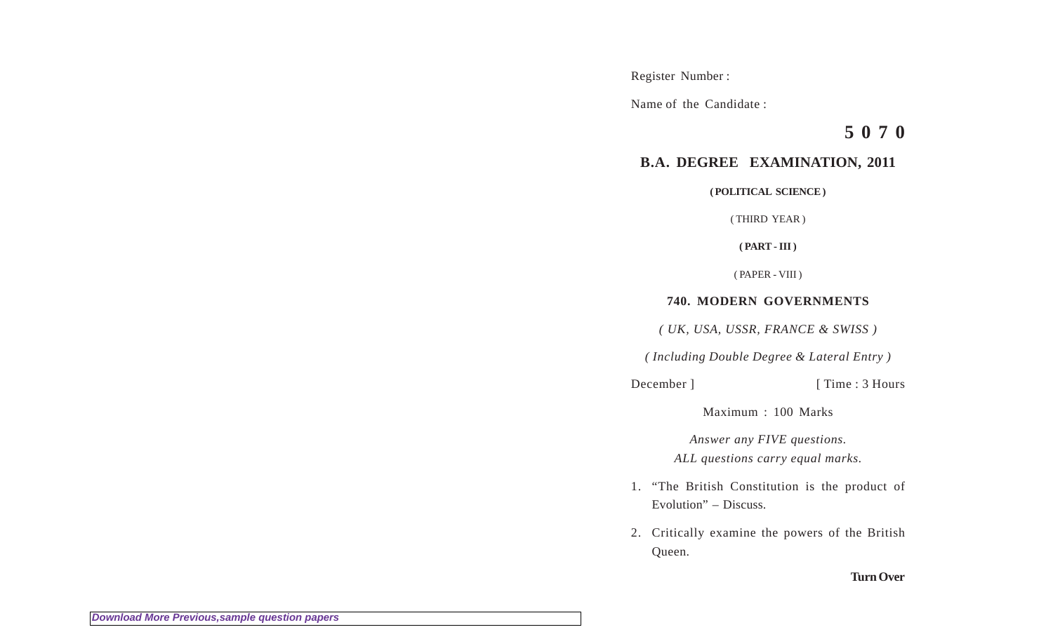Register Number :

Name of the Candidate :

**5 0 7 0**

## **B.A. DEGREE EXAMINATION, 2011**

**( POLITICAL SCIENCE )**

( THIRD YEAR )

**( PART - III )**

( PAPER - VIII )

## **740. MODERN GOVERNMENTS**

*( UK, USA, USSR, FRANCE & SWISS )*

*( Including Double Degree & Lateral Entry )*

December ] [ Time : 3 Hours

Maximum : 100 Marks

*Answer any FIVE questions. ALL questions carry equal marks.*

- 1. "The British Constitution is the product of Evolution" – Discuss.
- 2. Critically examine the powers of the British Queen.

## **Turn Over**